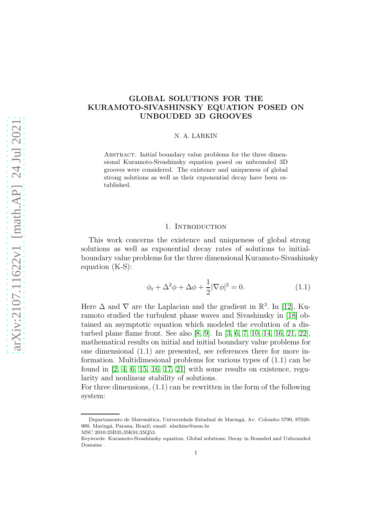# GLOBAL SOLUTIONS FOR THE KURAMOTO-SIVASHINSKY EQUATION POSED ON UNBOUDED 3D GROOVES

### N. A. LARKIN

ABSTRACT. Initial boundary value problems for the three dimensional Kuramoto-Sivashinsky equation posed on unbounded 3D grooves were considered. The existence and uniqueness of global strong solutions as well as their exponential decay have been established.

## 1. INTRODUCTION

This work concerns the existence and uniqueness of global strong solutions as well as exponential decay rates of solutions to initialboundary value problems for the three dimensional Kuramoto-Sivashinsky equation (K-S):

$$
\phi_t + \Delta^2 \phi + \Delta \phi + \frac{1}{2} |\nabla \phi|^2 = 0.
$$
\n(1.1)

Here  $\Delta$  and  $\nabla$  are the Laplacian and the gradient in  $\mathbb{R}^3$ . In [\[12\]](#page-10-0), Kuramoto studied the turbulent phase waves and Sivashinsky in [\[18\]](#page-10-1) obtained an asymptotic equation which modeled the evolution of a disturbed plane flame front. See also [\[8,](#page-9-0) [9\]](#page-9-1). In [\[3,](#page-9-2) [6,](#page-9-3) [7,](#page-9-4) [10,](#page-9-5) [14,](#page-10-2) [16,](#page-10-3) [21,](#page-10-4) [22\]](#page-10-5), mathematical results on initial and initial boundary value problems for one dimensional (1.1) are presented, see references there for more information. Multidimesional problems for various types of (1.1) can be found in  $[2, 4, 6, 15, 16, 17, 21]$  $[2, 4, 6, 15, 16, 17, 21]$  $[2, 4, 6, 15, 16, 17, 21]$  $[2, 4, 6, 15, 16, 17, 21]$  $[2, 4, 6, 15, 16, 17, 21]$  $[2, 4, 6, 15, 16, 17, 21]$  $[2, 4, 6, 15, 16, 17, 21]$  with some results on existence, regularity and nonlinear stability of solutions.

For three dimensions, (1.1) can be rewritten in the form of the following system:

Departamento de Matemática, Universidade Estadual de Maringá, Av. Colombo 5790, 87020-900, Maring´a, Parana, Brazil; email: nlarkine@uem.br

MSC 2010:35B35;35K91;35Q53.

Keywords: Kuramoto-Sivashinsky equation, Global solutions; Decay in Bounded and Unbounded Domains .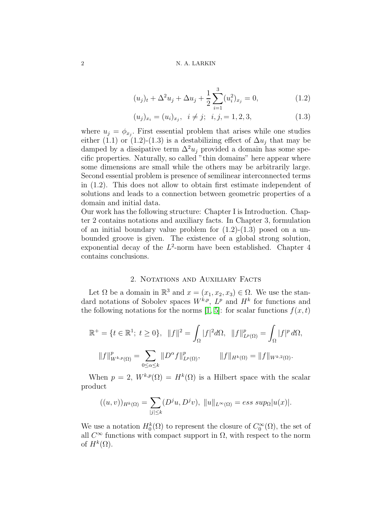#### 2 N. A. LARKIN

$$
(u_j)_t + \Delta^2 u_j + \Delta u_j + \frac{1}{2} \sum_{i=1}^3 (u_i^2)_{x_j} = 0,
$$
\n(1.2)

$$
(u_j)_{x_i} = (u_i)_{x_j}, \quad i \neq j; \quad i, j, = 1, 2, 3,
$$
\n
$$
(1.3)
$$

where  $u_j = \phi_{x_j}$ . First essential problem that arises while one studies either (1.1) or (1.2)-(1.3) is a destabilizing effect of  $\Delta u_i$  that may be damped by a dissipative term  $\Delta^2 u_i$  provided a domain has some specific properties. Naturally, so called "thin domains" here appear where some dimensions are small while the others may be arbitrarily large. Second essential problem is presence of semilinear interconnected terms in (1.2). This does not allow to obtain first estimate independent of solutions and leads to a connection between geometric properties of a domain and initial data.

Our work has the following structure: Chapter I is Introduction. Chapter 2 contains notations and auxiliary facts. In Chapter 3, formulation of an initial boundary value problem for  $(1.2)-(1.3)$  posed on a unbounded groove is given. The existence of a global strong solution, exponential decay of the  $L^2$ -norm have been established. Chapter 4 contains conclusions.

# 2. Notations and Auxiliary Facts

Let  $\Omega$  be a domain in  $\mathbb{R}^3$  and  $x = (x_1, x_2, x_3) \in \Omega$ . We use the standard notations of Sobolev spaces  $W^{k,p}$ ,  $L^p$  and  $H^k$  for functions and the following notations for the norms [\[1,](#page-9-8) [5\]](#page-9-9): for scalar functions  $f(x, t)$ 

$$
\mathbb{R}^{+} = \{ t \in \mathbb{R}^{1}; \ t \ge 0 \}, \quad ||f||^{2} = \int_{\Omega} |f|^{2} d\Omega, \quad ||f||_{L^{p}(\Omega)}^{p} = \int_{\Omega} |f|^{p} d\Omega,
$$

$$
||f||_{W^{k,p}(\Omega)}^{p} = \sum_{0 \le \alpha \le k} ||D^{\alpha}f||_{L^{p}(\Omega)}^{p}, \qquad ||f||_{H^{k}(\Omega)} = ||f||_{W^{k,2}(\Omega)}.
$$

When  $p = 2$ ,  $W^{k,p}(\Omega) = H^k(\Omega)$  is a Hilbert space with the scalar product

$$
((u,v))_{H^k(\Omega)} = \sum_{|j| \le k} (D^j u, D^j v), ||u||_{L^{\infty}(\Omega)} = \text{ess sup}_{\Omega} |u(x)|.
$$

We use a notation  $H_0^k(\Omega)$  to represent the closure of  $C_0^{\infty}(\Omega)$ , the set of all  $C^{\infty}$  functions with compact support in  $\Omega$ , with respect to the norm of  $H^k(\Omega)$ .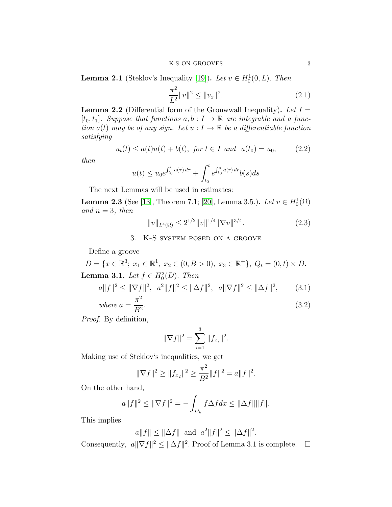**Lemma 2.1** (Steklov's Inequality [\[19\]](#page-10-8)). Let  $v \in H_0^1(0, L)$ . Then

$$
\frac{\pi^2}{L^2} \|v\|^2 \le \|v_x\|^2. \tag{2.1}
$$

**Lemma 2.2** (Differential form of the Gronwwall Inequality). Let  $I =$  $[t_0, t_1]$ . Suppose that functions  $a, b : I \to \mathbb{R}$  are integrable and a function  $a(t)$  may be of any sign. Let  $u: I \to \mathbb{R}$  be a differentiable function satisfying

$$
u_t(t) \le a(t)u(t) + b(t), \text{ for } t \in I \text{ and } u(t_0) = u_0,
$$
 (2.2)

then

$$
u(t) \le u_0 e^{\int_{t_0}^t a(\tau) d\tau} + \int_{t_0}^t e^{\int_{t_0}^s a(\tau) d\tau} b(s) ds
$$

The next Lemmas will be used in estimates:

**Lemma 2.3** (See [\[13\]](#page-10-9), Theorem 7.1; [\[20\]](#page-10-10), Lemma 3.5.). Let  $v \in H_0^1(\Omega)$ and  $n = 3$ , then

$$
||v||_{L^{4}(\Omega)} \le 2^{1/2} ||v||^{1/4} ||\nabla v||^{3/4}.
$$
\n(2.3)

3. K-S system posed on a groove

Define a groove

 $D = \{x \in \mathbb{R}^3; x_1 \in \mathbb{R}^1, x_2 \in (0, B > 0), x_3 \in \mathbb{R}^+\}, Q_t = (0, t) \times D.$ **Lemma 3.1.** Let  $f \in H_0^2(D)$ . Then

$$
a||f||^2 \le ||\nabla f||^2, \quad a^2||f||^2 \le ||\Delta f||^2, \quad a||\nabla f||^2 \le ||\Delta f||^2, \tag{3.1}
$$

where 
$$
a = \frac{\pi^2}{B^2}.
$$
 (3.2)

Proof. By definition,

$$
\|\nabla f\|^2 = \sum_{i=1}^3 \|f_{x_i}\|^2.
$$

Making use of Steklov's inequalities, we get

$$
\|\nabla f\|^2 \ge \|f_{x_2}\|^2 \ge \frac{\pi^2}{B^2} \|f\|^2 = a \|f\|^2.
$$

On the other hand,

$$
a||f||^2 \le ||\nabla f||^2 = -\int_{D_h} f\Delta f dx \le ||\Delta f|| ||f||.
$$

This implies

$$
a||f|| \le ||\Delta f||
$$
 and  $a^2||f||^2 \le ||\Delta f||^2$ .

Consequently,  $a \|\nabla f\|^2 \leq \|\Delta f\|^2$ . Proof of Lemma 3.1 is complete.  $\square$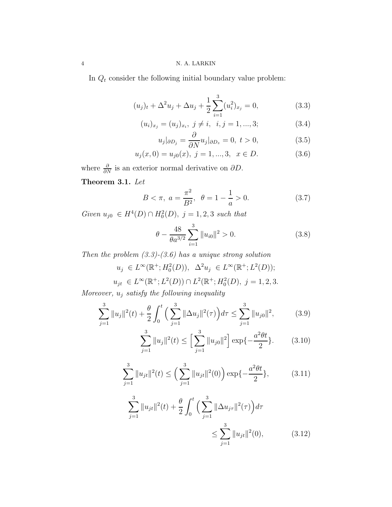In  $Q_t$  consider the following initial boundary value problem:

$$
(u_j)_t + \Delta^2 u_j + \Delta u_j + \frac{1}{2} \sum_{i=1}^3 (u_i^2)_{x_j} = 0,
$$
\n(3.3)

$$
(u_i)_{x_j} = (u_j)_{x_i}, \ j \neq i, \ i, j = 1, ..., 3; \tag{3.4}
$$

$$
u_j|_{\partial D_j} = \frac{\partial}{\partial N} u_j|_{\partial D_z} = 0, \ t > 0,
$$
\n(3.5)

$$
u_j(x,0) = u_{j0}(x), \ j = 1, ..., 3, \ x \in D.
$$
 (3.6)

where  $\frac{\partial}{\partial N}$  is an exterior normal derivative on  $\partial D$ .

Theorem 3.1. Let

$$
B < \pi, \ a = \frac{\pi^2}{B^2}, \ \ \theta = 1 - \frac{1}{a} > 0. \tag{3.7}
$$

Given  $u_{j0} \in H^4(D) \cap H_0^2(D)$ ,  $j = 1, 2, 3$  such that

$$
\theta - \frac{48}{\theta a^{3/2}} \sum_{i=1}^{3} ||u_{i0}||^2 > 0.
$$
 (3.8)

Then the problem  $(3.3)-(3.6)$  has a unique strong solution

 $u_j \in L^{\infty}(\mathbb{R}^+; H_0^2(D)), \ \Delta^2 u_j \in L^{\infty}(\mathbb{R}^+; L^2(D));$  $u_{jt} \in L^{\infty}(\mathbb{R}^+; L^2(D)) \cap L^2(\mathbb{R}^+; H_0^2(D), j = 1, 2, 3.$ 

Moreover,  $u_j$  satisfy the following inequality

$$
\sum_{j=1}^{3} \|u_j\|^2(t) + \frac{\theta}{2} \int_0^t \left(\sum_{j=1}^3 \|\Delta u_j\|^2(\tau)\right) d\tau \le \sum_{j=1}^3 \|u_{j0}\|^2, \tag{3.9}
$$

$$
\sum_{j=1}^{3} ||u_j||^2(t) \le \left[\sum_{j=1}^{3} ||u_{j0}||^2\right] \exp\{-\frac{a^2\theta t}{2}\}.
$$
 (3.10)

$$
\sum_{j=1}^{3} ||u_{jt}||^{2}(t) \le \left(\sum_{j=1}^{3} ||u_{jt}||^{2}(0)\right) \exp\{-\frac{a^{2}\theta t}{2}\},\tag{3.11}
$$

$$
\sum_{j=1}^{3} ||u_{jt}||^{2}(t) + \frac{\theta}{2} \int_{0}^{t} \left( \sum_{j=1}^{3} ||\Delta u_{j\tau}||^{2}(\tau) \right) d\tau
$$
  

$$
\leq \sum_{j=1}^{3} ||u_{jt}||^{2}(0), \qquad (3.12)
$$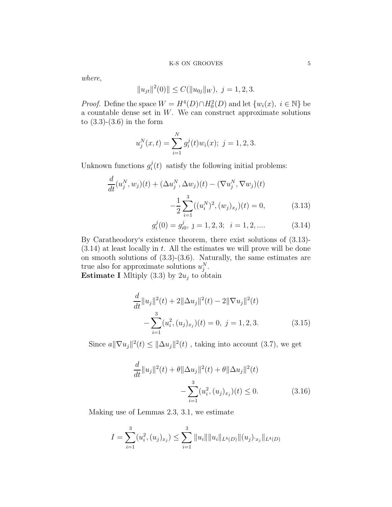## K-S ON GROOVES  $\hspace{1.5cm}5$

where,

$$
||u_{jt}||^2(0)|| \le C(||u_{0j}||_W), \ j = 1, 2, 3.
$$

*Proof.* Define the space  $W = H^4(D) \cap H_0^2(D)$  and let  $\{w_i(x), i \in \mathbb{N}\}\$  be a countable dense set in  $W$ . We can construct approximate solutions to  $(3.3)-(3.6)$  in the form

$$
u_j^N(x,t) = \sum_{i=1}^N g_i^j(t)w_i(x); \ j = 1, 2, 3.
$$

Unknown functions  $g_i^j$  $i(t)$  satisfy the following initial problems:

$$
\frac{d}{dt}(u_j^N, w_j)(t) + (\Delta u_j^N, \Delta w_j)(t) - (\nabla u_j^N, \nabla w_j)(t) \n- \frac{1}{2} \sum_{i=1}^3 ((u_i^N)^2, (w_j)_{x_j})(t) = 0,
$$
\n(3.13)

$$
g_i^j(0) = g_{i0}^j, \ j = 1, 2, 3; \ i = 1, 2, \dots \tag{3.14}
$$

By Caratheodory's existence theorem, there exist solutions of (3.13)-  $(3.14)$  at least locally in t. All the estimates we will prove will be done on smooth solutions of  $(3.3)-(3.6)$ . Naturally, the same estimates are true also for approximate solutions  $u_j^N$ .

**Estimate I** Miltiply (3.3) by  $2u_j$  to obtain

$$
\frac{d}{dt}||u_j||^2(t) + 2||\Delta u_j||^2(t) - 2||\nabla u_j||^2(t) \n- \sum_{i=1}^3 (u_i^2, (u_j)_{x_j})(t) = 0, \ j = 1, 2, 3.
$$
\n(3.15)

Since  $a||\nabla u_j||^2(t) \le ||\Delta u_j||^2(t)$ , taking into account (3.7), we get

$$
\frac{d}{dt}||u_j||^2(t) + \theta ||\Delta u_j||^2(t) + \theta ||\Delta u_j||^2(t) \n- \sum_{i=1}^3 (u_i^2, (u_j)_{x_j})(t) \le 0.
$$
\n(3.16)

Making use of Lemmas 2.3, 3.1, we estimate

$$
I = \sum_{i=1}^{3} (u_i^2, (u_j)_{x_j}) \le \sum_{i=1}^{3} ||u_i|| ||u_i||_{L^4(D)} ||(u_j)_{x_j}||_{L^4(D)}
$$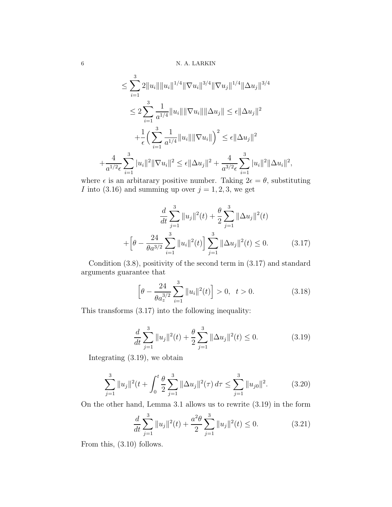$$
\leq \sum_{i=1}^{3} 2||u_{i}|| ||u_{i}||^{1/4} ||\nabla u_{i}||^{3/4} ||\nabla u_{j}||^{1/4} ||\Delta u_{j}||^{3/4}
$$
  

$$
\leq 2 \sum_{i=1}^{3} \frac{1}{a^{1/4}} ||u_{i}|| ||\nabla u_{i}|| ||\Delta u_{j}|| \leq \epsilon ||\Delta u_{j}||^{2}
$$
  

$$
+ \frac{1}{\epsilon} \Big( \sum_{i=1}^{3} \frac{1}{a^{1/4}} ||u_{i}|| ||\nabla u_{i}|| \Big)^{2} \leq \epsilon ||\Delta u_{j}||^{2}
$$
  

$$
+ \frac{4}{a^{1/2} \epsilon} \sum_{i=1}^{3} |u_{i}||^{2} ||\nabla u_{i}||^{2} \leq \epsilon ||\Delta u_{j}||^{2} + \frac{4}{a^{3/2} \epsilon} \sum_{i=1}^{3} |u_{i}||^{2} ||\Delta u_{i}||^{2},
$$

where  $\epsilon$  is an arbitrary positive number. Taking  $2\epsilon = \theta$ , substituting I into (3.16) and summing up over  $j = 1, 2, 3$ , we get

$$
\frac{d}{dt} \sum_{j=1}^{3} ||u_j||^2(t) + \frac{\theta}{2} \sum_{j=1}^{3} ||\Delta u_j||^2(t)
$$

$$
+ \left[\theta - \frac{24}{\theta a^{3/2}} \sum_{i=1}^{3} ||u_i||^2(t) \right] \sum_{j=1}^{3} ||\Delta u_j||^2(t) \le 0.
$$
 (3.17)

Condition (3.8), positivity of the second term in (3.17) and standard arguments guarantee that

$$
\left[\theta - \frac{24}{\theta a_z^{3/2}} \sum_{i=1}^3 \|u_i\|^2(t)\right] > 0, \ \ t > 0. \tag{3.18}
$$

This transforms (3.17) into the following inequality:

$$
\frac{d}{dt} \sum_{j=1}^{3} \|u_j\|^2(t) + \frac{\theta}{2} \sum_{j=1}^{3} \|\Delta u_j\|^2(t) \le 0.
$$
 (3.19)

Integrating (3.19), we obtain

$$
\sum_{j=1}^{3} \|u_j\|^2 (t + \int_0^t \frac{\theta}{2} \sum_{j=1}^3 \|\Delta u_j\|^2 (\tau) d\tau \le \sum_{j=1}^3 \|u_{j0}\|^2.
$$
 (3.20)

On the other hand, Lemma 3.1 allows us to rewrite (3.19) in the form

$$
\frac{d}{dt} \sum_{j=1}^{3} \|u_j\|^2(t) + \frac{a^2 \theta}{2} \sum_{j=1}^{3} \|u_j\|^2(t) \le 0.
$$
 (3.21)

From this, (3.10) follows.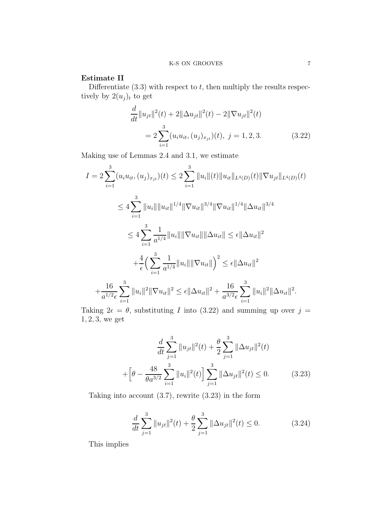# Estimate II

Differentiate  $(3.3)$  with respect to t, then multiply the results respectively by  $2(u_j)_t$  to get

$$
\frac{d}{dt}||u_{jt}||^2(t) + 2||\Delta u_{jt}||^2(t) - 2||\nabla u_{jt}||^2(t)
$$
\n
$$
= 2\sum_{i=1}^3 (u_i u_{it}, (u_j)_{x_{jt}})(t), \ j = 1, 2, 3. \tag{3.22}
$$

Making use of Lemmas 2.4 and 3.1, we estimate

$$
I = 2 \sum_{i=1}^{3} (u_i u_{it}, (u_j)_{x_{jt}})(t) \le 2 \sum_{i=1}^{3} ||u_i||(t)||u_{it}||_{L^4(D)}(t)||\nabla u_{jt}||_{L^4(D)}(t)
$$
  
\n
$$
\le 4 \sum_{i=1}^{3} ||u_i|| ||u_{it}||^{1/4} ||\nabla u_{it}||^{3/4} ||\nabla u_{it}||^{1/4} ||\Delta u_{it}||^{3/4}
$$
  
\n
$$
\le 4 \sum_{i=1}^{3} \frac{1}{a^{1/4}} ||u_i|| ||\nabla u_{it}|| ||\Delta u_{it}|| \le \epsilon ||\Delta u_{it}||^2
$$
  
\n
$$
+ \frac{4}{\epsilon} \Big( \sum_{i=1}^{3} \frac{1}{a^{1/4}} ||u_i|| ||\nabla u_{it}|| \Big)^2 \le \epsilon ||\Delta u_{it}||^2
$$
  
\n
$$
+ \frac{16}{a^{1/2} \epsilon} \sum_{i=1}^{3} ||u_i||^2 ||\nabla u_{it}||^2 \le \epsilon ||\Delta u_{it}||^2 + \frac{16}{a^{3/2} \epsilon} \sum_{i=1}^{3} ||u_i||^2 ||\Delta u_{it}||^2.
$$

Taking  $2\epsilon = \theta$ , substituting I into (3.22) and summing up over  $j =$ 1, 2, 3, we get

$$
\frac{d}{dt} \sum_{j=1}^{3} ||u_{jt}||^{2}(t) + \frac{\theta}{2} \sum_{j=1}^{3} ||\Delta u_{jt}||^{2}(t) + \left[\theta - \frac{48}{\theta a^{3/2}} \sum_{i=1}^{3} ||u_{i}||^{2}(t) \right] \sum_{j=1}^{3} ||\Delta u_{jt}||^{2}(t) \le 0.
$$
 (3.23)

Taking into account (3.7), rewrite (3.23) in the form

$$
\frac{d}{dt} \sum_{j=1}^{3} \|u_{jt}\|^2(t) + \frac{\theta}{2} \sum_{j=1}^{3} \|\Delta u_{jt}\|^2(t) \le 0.
$$
 (3.24)

This implies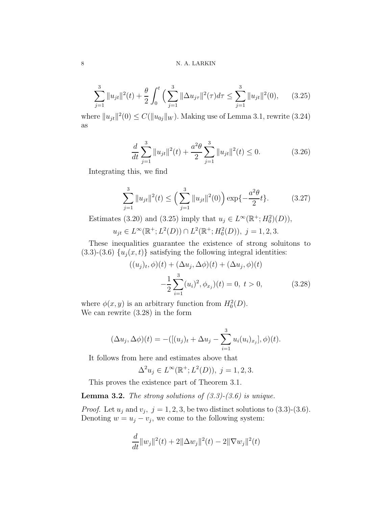# 8 N. A. LARKIN

$$
\sum_{j=1}^{3} \|u_{jt}\|^2(t) + \frac{\theta}{2} \int_0^t \left(\sum_{j=1}^3 \|\Delta u_{j\tau}\|^2(\tau) d\tau \le \sum_{j=1}^3 \|u_{jt}\|^2(0), \qquad (3.25)
$$

where  $||u_{jt}||^2(0) \leq C(||u_{0j}||_W)$ . Making use of Lemma 3.1, rewrite (3.24) as

$$
\frac{d}{dt} \sum_{j=1}^{3} \|u_{jt}\|^2(t) + \frac{a^2 \theta}{2} \sum_{j=1}^{3} \|u_{jt}\|^2(t) \le 0.
$$
 (3.26)

Integrating this, we find

$$
\sum_{j=1}^{3} \|u_{jt}\|^2(t) \le \left(\sum_{j=1}^{3} \|u_{jt}\|^2(0)\right) \exp\{-\frac{a^2\theta}{2}t\}.
$$
 (3.27)

Estimates (3.20) and (3.25) imply that  $u_j \in L^{\infty}(\mathbb{R}^+; H_0^2)(D)$ ,

$$
u_{jt} \in L^{\infty}(\mathbb{R}^+; L^2(D)) \cap L^2(\mathbb{R}^+; H_0^2(D)), \ j = 1, 2, 3.
$$

These inequalities guarantee the existence of strong soluitons to (3.3)-(3.6)  $\{u_j(x,t)\}\$  satisfying the following integral identities:

$$
((u_j)_t, \phi)(t) + (\Delta u_j, \Delta \phi)(t) + (\Delta u_j, \phi)(t)
$$

$$
-\frac{1}{2} \sum_{i=1}^3 (u_i)^2, \phi_{x_j}(t) = 0, \ t > 0,
$$
(3.28)

where  $\phi(x, y)$  is an arbitrary function from  $H_0^2(D)$ . We can rewrite (3.28) in the form

$$
(\Delta u_j, \Delta \phi)(t) = -([(u_j)_t + \Delta u_j - \sum_{i=1}^3 u_i(u_i)_{x_j}], \phi)(t).
$$

It follows from here and estimates above that

$$
\Delta^2 u_j \in L^{\infty}(\mathbb{R}^+; L^2(D)), \ j = 1, 2, 3.
$$

This proves the existence part of Theorem 3.1.

**Lemma 3.2.** The strong solutions of  $(3.3)-(3.6)$  is unique.

*Proof.* Let  $u_j$  and  $v_j$ ,  $j = 1, 2, 3$ , be two distinct solutions to  $(3.3)-(3.6)$ . Denoting  $w = u_j - v_j$ , we come to the following system:

$$
\frac{d}{dt}||w_j||^2(t) + 2||\Delta w_j||^2(t) - 2||\nabla w_j||^2(t)
$$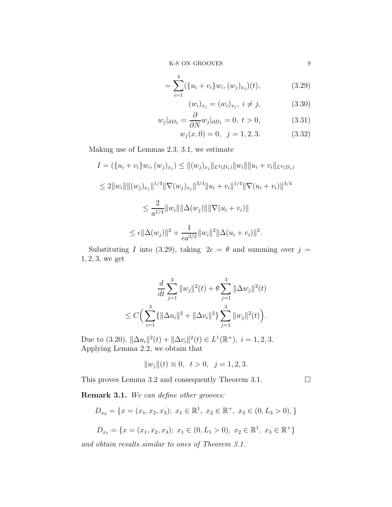K-S ON GROOVES  $\hskip 3cm 9$ 

$$
= \sum_{i=1}^{4} (\{u_i + v_i\} w_i, (w_j)_{x_j})(t), \qquad (3.29)
$$

$$
(w_i)_{x_j} = (w_i)_{x_j}, \ i \neq j,
$$
\n(3.30)

$$
w_j|_{\partial D_1} = \frac{\partial}{\partial N} w_j|_{\partial D_1} = 0, \ t > 0,
$$
\n(3.31)

$$
w_j(x,0) = 0, \ \ j = 1,2,3. \tag{3.32}
$$

Making use of Lemmas 2.3, 3.1, we estimate

$$
I = (\{u_i + v_i\}w_i, (w_j)_{x_j}) \le ||(w_j)_{x_j}||_{L^4(D_z)}||w_i|| ||u_i + v_i||_{L^4(D_z)}
$$
  
\n
$$
\le 2||w_i|| ||(w_j)_{x_j}||^{1/4}||\nabla(w_j)_{x_j}||^{3/4}||u_i + v_i||^{1/4}||\nabla(u_i + v_i)||^{3/4}
$$
  
\n
$$
\le \frac{2}{a^{1/4}}||w_i|| ||\Delta(w_j)|| ||\nabla(u_i + v_i)||
$$
  
\n
$$
\le \epsilon ||\Delta(w_j)||^2 + \frac{1}{\epsilon a^{3/2}}||w_i||^2 ||\Delta(u_i + v_i)||^2.
$$

Substituting I into (3.29), taking  $2\epsilon = \theta$  and summing over  $j =$  $1, 2, 3$ , we get

$$
\frac{d}{dt} \sum_{j=1}^{3} ||w_j||^2(t) + \theta \sum_{j=1}^{3} ||\Delta w_j||^2(t)
$$
  

$$
\leq C \Big( \sum_{i=1}^{3} \{ ||\Delta u_i||^2 + ||\Delta v_i||^2 \} \sum_{j=1}^{3} ||w_j||^2(t) \Big).
$$

Due to (3.20),  $\|\Delta u_i\|^2(t) + \|\Delta v_i\|^2(t) \in L^1(\mathbb{R}^+), i = 1, 2, 3.$ Applying Lemma 2.2, we obtain that

$$
||w_j||(t) \equiv 0, \ t > 0, \ j = 1, 2, 3.
$$

This proves Lemma 3.2 and consequently Theorem 3.1.

Remark 3.1. We can define other grooves:

$$
D_{x_3} = \{x = (x_1, x_2, x_3); x_1 \in \mathbb{R}^1, x_2 \in \mathbb{R}^+, x_3 \in (0, L_3 > 0),\}
$$

$$
D_{x_1} = \{x = (x_1, x_2, x_3); x_1 \in (0, L_1 > 0), x_2 \in \mathbb{R}^1, x_3 \in \mathbb{R}^+\}
$$

and obtain results similar to ones of Theorem 3.1.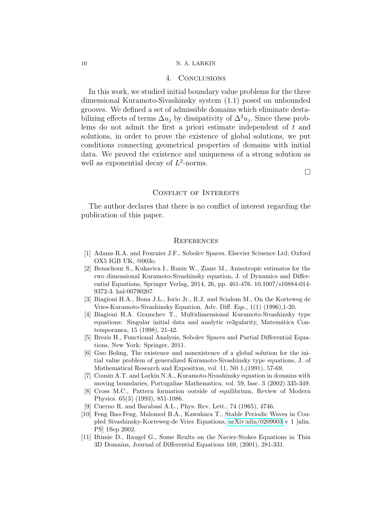### 4. Conclusions

In this work, we studied initial boundary value problems for the three dimensional Kuramoto-Sivashinsky system (1.1) posed on unbounded grooves. We defined a set of admissible domains which eliminate destabilizing effects of terms  $\Delta u_j$  by dissipativity of  $\Delta^2 u_j$ . Since these problems do not admit the first a priori estimate independent of t and solutions, in order to prove the existence of global solutions, we put conditions connecting geometrical properties of domains with initial data. We proved the existence and uniqueness of a strong solution as well as exponential decay of  $L^2$ -norms.

 $\Box$ 

## CONFLICT OF INTERESTS

The author declares that there is no conflict of interest regarding the publication of this paper.

### **REFERENCES**

- <span id="page-9-8"></span>[1] Adams R.A. and Fournier J.F., Sobolev Spaces. Elsevier Sciuence Ltd; Oxford OX5 IGB UK, @003o.
- <span id="page-9-6"></span>[2] Benachour S., Kukavica I., Rusin W., Ziane M., Anisotropic estimates for the rwo dimensional Kuramoto-Sivashinsky equation, J. of Dynamics and Differential Equations, Springer Verlag, 2014, 26, pp. 461-476. 10.1007/s10884-014- 9372-3. hal-00790207.
- <span id="page-9-2"></span>[3] Biagioni H.A., Bona J.L., Iorio Jr., R.J. and Scialom M., On the Korteweg de Vries-Kuramoto-Sivashinsky Equation, Adv. Diff. Eqs., 1(1) (1996),1-20.
- <span id="page-9-7"></span>[4] Biagioni H.A. Gramchev T., Multidimensional Kuramoto-Sivashinsky type equations: Singular initial data and analytic re3gularity, Matemática Contemporanea, 15 (1998), 21-42.
- <span id="page-9-9"></span>[5] Brezis H., Functional Analysis, Sobolev Spaces and Partial Differential Equations. New York: Springer, 2011.
- <span id="page-9-3"></span>[6] Guo Boling, The existence and nonexistence of a global solution for the initial value problem of generalized Kuramoto-Sivashinsky type equations, J. of Mathematical Research and Exposition, vol. 11, N0 1,(1991), 57-69.
- <span id="page-9-4"></span>[7] Cousin A.T. and Larkin N.A., Kuramoto-Sivashinsky equation in domains with moving boundaries, Portugaliae Mathematica, vol. 59, fasc. 3 (2002) 335-349.
- <span id="page-9-0"></span>[8] Cross M.C., Pattern formation outside of equilibrium, Review of Modern Physics. 65(3) (1993), 851-1086.
- <span id="page-9-5"></span><span id="page-9-1"></span>[9] Cuerno R. and Barabasi A.L., Phys. Rev. Lett., 74 (1965), 4746.
- [10] Feng Bao-Feng, Malomed B.A., Kawahara T., Stable Periodic Waves in Coupled Sivashinsky-Korteweg-de Vries Equations, [arXiv:nlin/0209003](http://arxiv.org/abs/nlin/0209003) v 1 [nlin. PS] 1Sep 2002.
- [11] Iftimie D., Raugel G., Some Reults on the Navier-Stokes Equations in Thin 3D Domains, Journal of Differential Equations 169, (2001), 281-331.